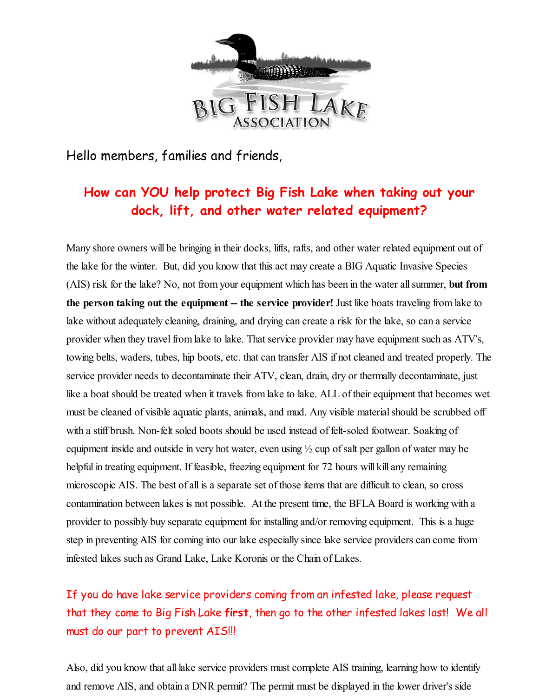

Hello members, families and friends,

# **How can YOU help protect Big Fish Lake when taking out your dock, lift, and other water related equipment?**

Many shore owners will be bringing in their docks, lifts, rafts, and other water related equipment out of the lake for the winter. But, did you know that this act may create a BIG Aquatic Invasive Species (AIS) risk for the lake? No, not from your equipment which has been in the water allsummer, **but from the person taking out the equipment -- the service provider!** Just like boats traveling from lake to lake without adequately cleaning, draining, and drying can create a risk for the lake, so can a service provider when they travel from lake to lake. That service provider may have equipment such as ATV's, towing belts, waders, tubes, hip boots, etc. that can transfer AIS if not cleaned and treated properly. The service provider needs to decontaminate their ATV, clean, drain, dry or thermally decontaminate, just like a boat should be treated when it travels from lake to lake. ALL of their equipment that becomes wet must be cleaned of visible aquatic plants, animals, and mud. Any visible material should be scrubbed off with a stiff brush. Non-felt soled boots should be used instead of felt-soled footwear. Soaking of equipment inside and outside in very hot water, even using  $\frac{1}{2}$  cup of salt per gallon of water may be helpful in treating equipment. If feasible, freezing equipment for 72 hours will kill any remaining microscopic AIS. The best of all is a separate set of those items that are difficult to clean, so cross contamination between lakes is not possible. At the present time, the BFLA Board is working with a provider to possibly buy separate equipment for installing and/or removing equipment. This is a huge step in preventing AIS for coming into our lake especially since lake service providers can come from infested lakes such as Grand Lake, Lake Koronis or the Chain of Lakes.

# If you do have lake service providers coming from an infested lake, please request that they come to Big Fish Lake **first**, then go to the other infested lakes last! We all must do our part to prevent AIS!!!

Also, did you know that all lake service providers must complete AIS training, learning how to identify and remove AIS, and obtain a DNR permit? The permit must be displayed in the lower driver's side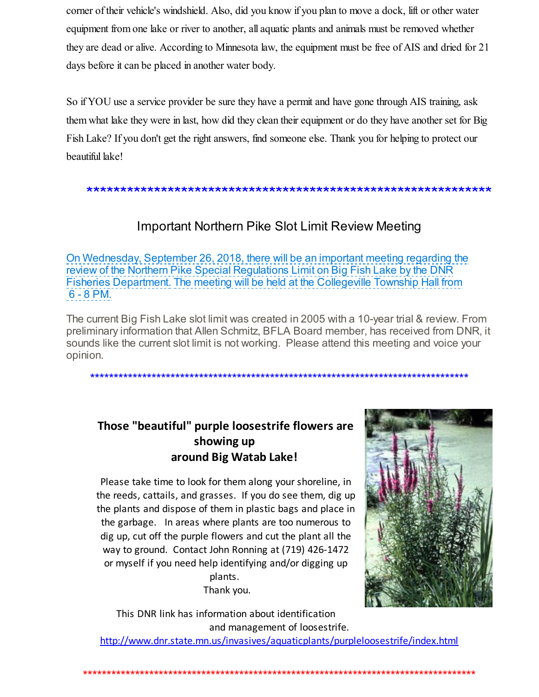corner of their vehicle's windshield. Also, did you know if you plan to move a dock, lift or other water equipment from one lake or river to another, all aquatic plants and animals must be removed whether they are dead or alive. According to Minnesota law, the equipment must be free of AIS and dried for 21 days before it can be placed in another water body.

So if YOU use a service provider be sure they have a permit and have gone through AIS training, ask them what lake they were in last, how did they clean their equipment or do they have another set for Big Fish Lake? If you don't get the right answers, find someone else. Thank you for helping to protect our beautiful lake!

#### \*\*\*\*\*\*\*\*\*\*\*\*\*\*\*\*\*\*\*\*\*\*\*\*\*\*\*\*\*\*\*\*\*\*\*\*\*\*\*\*\*\*\*\*\*\*\*\*\*\*\*\*\*\*\*\*\*\*\*\*

## Important Northern Pike Slot Limit Review Meeting

On Wednesday, September 26, 2018, there will be an important meeting regarding the review of the Northern Pike Special Regulations Limit on Big Fish Lake by the DNR Fisheries Department. The meeting will be held at the Collegeville Township Hall from 6 - 8 PM.

The current Big Fish Lake slot limit was created in 2005 with a 10-year trial & review. From preliminary information that Allen Schmitz, BFLA Board member, has received from DNR, it sounds like the current slot limit is not working. Please attend this meeting and voice your opinion.

\*\*\*\*\*\*\*\*\*\*\*\*\*\*\*\*\*\*\*\*\*\*\*\*\*\*\*\*\*\*\*\*\*\*\*\*\*\*\*\*\*\*\*\*\*\*\*\*\*\*\*\*\*\*\*\*\*\*\*\*\*\*\*\*\*\*\*\*\*\*\*\*\*\*\*\*\*\*\*\*

# **Those "beautiful" purple loosestrife flowers are showing up around Big Watab Lake!**

Please take time to look for them along your shoreline, in the reeds, cattails, and grasses. If you do see them, dig up the plants and dispose of them in plastic bags and place in the garbage. In areas where plants are too numerous to dig up, cut off the purple flowers and cut the plant all the way to ground. Contact John Ronning at (719) 426-1472 or myself if you need help identifying and/or digging up plants. Thank you.



This DNR link has information about identification and management of loosestrife. [http://www.dnr.state.mn.us/invasives/aquaticplants/purpleloosestrife/index.html](http://r20.rs6.net/tn.jsp?f=001bxGWgSr7VYW70rEe7oXVRW6tMwWJAIRSeMuKgtQiT-KAdgSkydJ8pE30jtKkHEGHH6pgAPS6Ogaxga17_ZQ1-OIEukzSDHUISPdMBozY6-hlAjUqNv21J9qcaP7fvbDE_wrNSERhpbrEPMEqEdpiz2f-TBv-cMZ0XP5gwS7TeP8aK1AWU6fzxxUv1ZY2oLMUap7tHJbSUfiUIfwZBPdRKbp09PcMAxOQE8CLiab8jK5nj1S57ksvX1pAcvVqAhlX&c=&ch=)

\*\*\*\*\*\*\*\*\*\*\*\*\*\*\*\*\*\*\*\*\*\*\*\*\*\*\*\*\*\*\*\*\*\*\*\*\*\*\*\*\*\*\*\*\*\*\*\*\*\*\*\*\*\*\*\*\*\*\*\*\*\*\*\*\*\*\*\*\*\*\*\*\*\*\*\*\*\*\*\*\*\*\*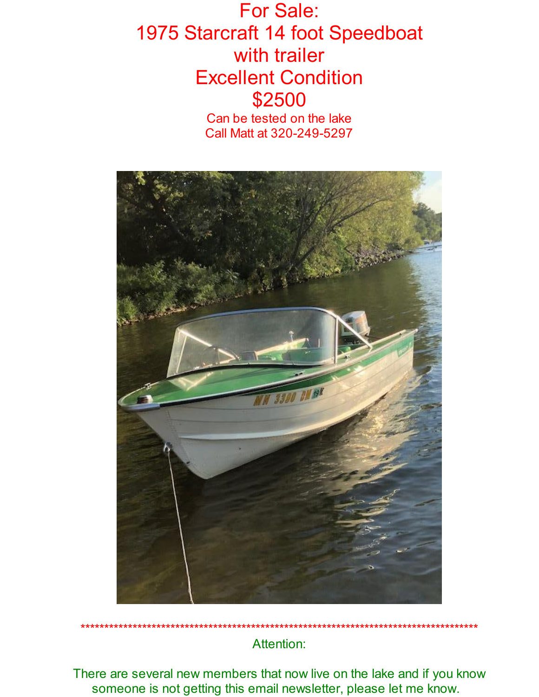# For Sale: 1975 Starcraft 14 foot Speedboat with trailer Excellent Condition \$2500

Can be tested on the lake Call Matt at 320-249-5297



Attention:

There are several new members that now live on the lake and if you know someone is not getting this email newsletter, please let me know.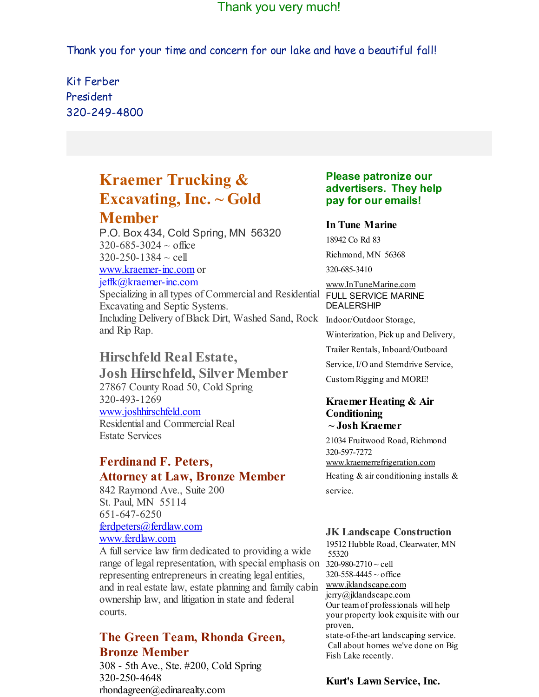## Thank you very much!

Thank you for your time and concern for our lake and have a beautiful fall!

Kit Ferber President 320-249-4800

# **Kraemer Trucking & Excavating, Inc. ~ Gold Member**

P.O. Box 434, Cold Spring, MN 56320  $320 - 685 - 3024 \sim$  office  $320 - 250 - 1384 \sim$  cell [www.kraemer-inc.com](http://r20.rs6.net/tn.jsp?f=001bxGWgSr7VYW70rEe7oXVRW6tMwWJAIRSeMuKgtQiT-KAdgSkydJ8pNItjuI5pKuGZrBV6DeG43RlNag4qpRYRg3MD5wgvTWOVcfDAidpSf8imk2FqsMLnfcwDs0FXpR2mTkLU4B-i3ayeJtoU7qRdOBNIRg2yCsAn_nN2ypYwwM=&c=&ch=) or jeffk@kraemer-inc.com Specializing in all types of Commercial and Residential FULL SERVICE MARINE Excavating and Septic Systems.

Including Delivery of Black Dirt, Washed Sand, Rock Indoor/Outdoor Storage, and Rip Rap.

## **Hirschfeld Real Estate,**

**Josh Hirschfeld, Silver Member** 27867 County Road 50, Cold Spring 320-493-1269 [www.joshhirschfeld.com](http://r20.rs6.net/tn.jsp?f=001bxGWgSr7VYW70rEe7oXVRW6tMwWJAIRSeMuKgtQiT-KAdgSkydJ8pPX5gIj7Jlqq_blBN3m1gITJuBV5-1YqMezVpPcniqKHLIVR4XkvmMUHV5Q8PW_cf_Y5NwlEX6yIuV6MB4-Nfu3f3k7-sdl6CVO7fs5KNGSWiJtRhjJVFhBsx1BiwOfkLA==&c=&ch=) Residential and Commercial Real Estate Services

### **Ferdinand F. Peters, Attorney at Law, Bronze Member**

842 Raymond Ave., Suite 200 St. Paul, MN 55114 651-647-6250 [ferdpeters@ferdlaw.com](mailto:ferdpeters@ferdlaw.com) [www.ferdlaw.com](http://r20.rs6.net/tn.jsp?f=001bxGWgSr7VYW70rEe7oXVRW6tMwWJAIRSeMuKgtQiT-KAdgSkydJ8pIaNRSCoryxEFMFQTHqCimEhEY--YT4TfkDdZhmveyCTzXSiZirTqaB_jDCmKHHmMPKoQ_-hoc5MuWmjymHdOM5CEiFdXseYDM7UVXOfoYzuPAE9bjdIrzQ=&c=&ch=)

A fullservice law firm dedicated to providing a wide range of legal representation, with special emphasis on  $320-980-2710 \sim$  cell representing entrepreneurs in creating legal entities, and in real estate law, estate planning and family cabin ownership law, and litigation in state and federal courts.

## **The Green Team, Rhonda Green, Bronze Member**

308 - 5th Ave., Ste. #200, Cold Spring 320-250-4648 rhondagreen@edinarealty.com

#### **Please patronize our advertisers. They help pay for our emails!**

#### **In Tune Marine**

18942 Co Rd 83 Richmond, MN 56368 320-685-3410

# [www.InTuneMarine.com](http://r20.rs6.net/tn.jsp?f=001bxGWgSr7VYW70rEe7oXVRW6tMwWJAIRSeMuKgtQiT-KAdgSkydJ8pPX5gIj7JlqqPOzXm5zgxOyUuvi8oHf--qwJE_OnJmUmy3KwARjWerbO2kpkxEPWF-rng08sIpM_IynFSW1vGzmA15frWRx3cd8lLovrRLOELz8wKDm2eko=&c=&ch=) DEALERSHIP

Winterization, Pick up and Delivery, Trailer Rentals, Inboard/Outboard Service, I/O and Sterndrive Service, CustomRigging and MORE!

#### **Kraemer Heating & Air Conditioning ~ Josh Kraemer**

21034 Fruitwood Road, Richmond 320-597-7272

[www.kraemerrefrigeration.com](http://r20.rs6.net/tn.jsp?f=001bxGWgSr7VYW70rEe7oXVRW6tMwWJAIRSeMuKgtQiT-KAdgSkydJ8pPX5gIj7JlqqNnZE5sSPOZfGDSgu8sGJrpObV4VCNuC6BfoYtdJx2amWnI4pwtfYEHorki3g7sMmH3z0rebHtaDAoNJLUtO2H1qlTwDvDUY1dVjOVDsvNs0k6uQ6SsMq6A==&c=&ch=)

Heating  $&$  air conditioning installs  $&$ service.

#### **JK Landscape Construction**

19512 Hubble Road, Clearwater, MN 55320  $320 - 558 - 4445 \sim$  office [www.jklandscape.com](http://r20.rs6.net/tn.jsp?f=001bxGWgSr7VYW70rEe7oXVRW6tMwWJAIRSeMuKgtQiT-KAdgSkydJ8pBglGfcc17GJIiVgGVWcdAJb7G-cBXSOIxeuDyP61HuCVwDLskmzAnERww1SQBhgh75mLWHl5d7H8MLRsRzXx14KG3upTupKLV7kUPQJwd9gTi9R2oKKBHM=&c=&ch=) jerry@jklandscape.com Our teamof professionals will help your property look exquisite with our proven, state-of-the-art landscaping service. Call about homes we've done on Big Fish Lake recently.

#### **Kurt's Lawn Service, Inc.**